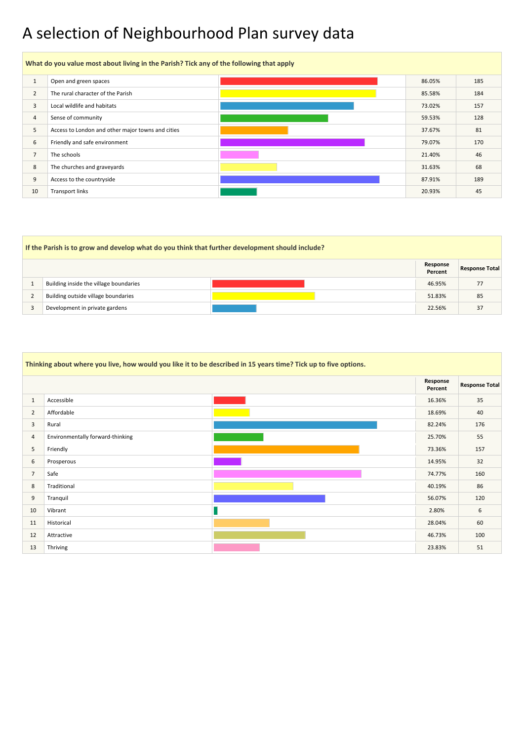## A selection of Neighbourhood Plan survey data

### **If the Parish is to grow and develop what do you think that further development should include? Response Percent Response Total** 1 Building inside the village boundaries and the state of the state of the state of the state of the state of the state of the state of the state of the state of the state of the state of the state of the state of the stat a building outside village boundaries and the set of the set of the set of the set of the set of the set of the set of the set of the set of the set of the set of the set of the set of the set of the set of the set of the 3 Development in private gardens 22.56% 37



|                | Thinking about where you live, how would you like it to be described in 15 years time? Tick up to five options. |  |                     |                       |  |  |  |  |
|----------------|-----------------------------------------------------------------------------------------------------------------|--|---------------------|-----------------------|--|--|--|--|
|                |                                                                                                                 |  | Response<br>Percent | <b>Response Total</b> |  |  |  |  |
| 1              | Accessible                                                                                                      |  | 16.36%              | 35                    |  |  |  |  |
| $\overline{2}$ | Affordable                                                                                                      |  | 18.69%              | 40                    |  |  |  |  |
| $\mathbf{3}$   | Rural                                                                                                           |  | 82.24%              | 176                   |  |  |  |  |
| 4              | Environmentally forward-thinking                                                                                |  | 25.70%              | 55                    |  |  |  |  |
| 5              | Friendly                                                                                                        |  | 73.36%              | 157                   |  |  |  |  |
| 6              | Prosperous                                                                                                      |  | 14.95%              | 32                    |  |  |  |  |
| $\overline{7}$ | Safe                                                                                                            |  | 74.77%              | 160                   |  |  |  |  |
| 8              | Traditional                                                                                                     |  | 40.19%              | 86                    |  |  |  |  |
| 9              | Tranquil                                                                                                        |  | 56.07%              | 120                   |  |  |  |  |
| 10             | Vibrant                                                                                                         |  | 2.80%               | 6                     |  |  |  |  |
| 11             | Historical                                                                                                      |  | 28.04%              | 60                    |  |  |  |  |
| 12             | Attractive                                                                                                      |  | 46.73%              | 100                   |  |  |  |  |
| 13             | Thriving                                                                                                        |  | 23.83%              | 51                    |  |  |  |  |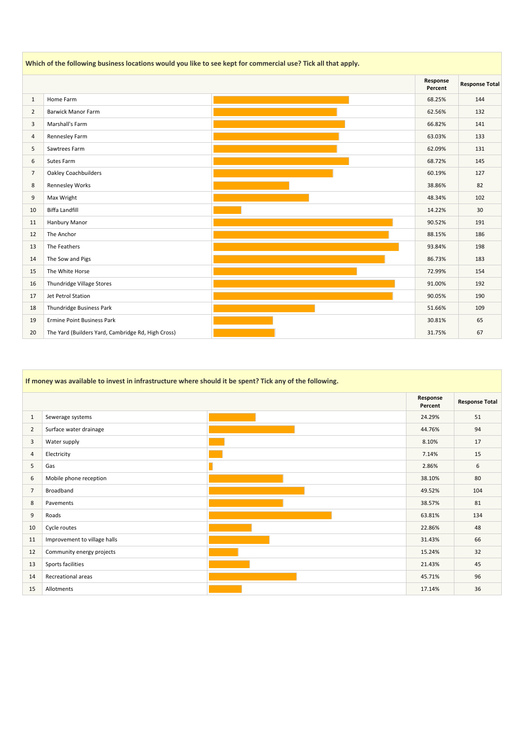|                | Which of the following business locations would you like to see kept for commercial use? Tick all that apply. |  |                     |                       |  |  |  |  |
|----------------|---------------------------------------------------------------------------------------------------------------|--|---------------------|-----------------------|--|--|--|--|
|                |                                                                                                               |  | Response<br>Percent | <b>Response Total</b> |  |  |  |  |
| $\mathbf{1}$   | Home Farm                                                                                                     |  | 68.25%              | 144                   |  |  |  |  |
| $\overline{2}$ | <b>Barwick Manor Farm</b>                                                                                     |  | 62.56%              | 132                   |  |  |  |  |
| 3              | Marshall's Farm                                                                                               |  | 66.82%              | 141                   |  |  |  |  |
| $\overline{4}$ | Rennesley Farm                                                                                                |  | 63.03%              | 133                   |  |  |  |  |
| 5              | Sawtrees Farm                                                                                                 |  | 62.09%              | 131                   |  |  |  |  |
| $\sqrt{6}$     | Sutes Farm                                                                                                    |  | 68.72%              | 145                   |  |  |  |  |
| 7              | <b>Oakley Coachbuilders</b>                                                                                   |  | 60.19%              | 127                   |  |  |  |  |
| $\,8\,$        | <b>Rennesley Works</b>                                                                                        |  | 38.86%              | 82                    |  |  |  |  |
| 9              | Max Wright                                                                                                    |  | 48.34%              | 102                   |  |  |  |  |
| 10             | <b>Biffa Landfill</b>                                                                                         |  | 14.22%              | 30                    |  |  |  |  |
| 11             | Hanbury Manor                                                                                                 |  | 90.52%              | 191                   |  |  |  |  |
| 12             | The Anchor                                                                                                    |  | 88.15%              | 186                   |  |  |  |  |
| 13             | The Feathers                                                                                                  |  | 93.84%              | 198                   |  |  |  |  |
| 14             | The Sow and Pigs                                                                                              |  | 86.73%              | 183                   |  |  |  |  |
| 15             | The White Horse                                                                                               |  | 72.99%              | 154                   |  |  |  |  |
| 16             | Thundridge Village Stores                                                                                     |  | 91.00%              | 192                   |  |  |  |  |
| 17             | Jet Petrol Station                                                                                            |  | 90.05%              | 190                   |  |  |  |  |
| 18             | Thundridge Business Park                                                                                      |  | 51.66%              | 109                   |  |  |  |  |
| 19             | <b>Ermine Point Business Park</b>                                                                             |  | 30.81%              | 65                    |  |  |  |  |
| 20             | The Yard (Builders Yard, Cambridge Rd, High Cross)                                                            |  | 31.75%              | 67                    |  |  |  |  |

|                | If money was available to invest in infrastructure where should it be spent? Tick any of the following. |  |                     |                       |  |  |  |  |
|----------------|---------------------------------------------------------------------------------------------------------|--|---------------------|-----------------------|--|--|--|--|
|                |                                                                                                         |  | Response<br>Percent | <b>Response Total</b> |  |  |  |  |
| $\mathbf{1}$   | Sewerage systems                                                                                        |  | 24.29%              | 51                    |  |  |  |  |
| $\overline{2}$ | Surface water drainage                                                                                  |  | 44.76%              | 94                    |  |  |  |  |
| $\overline{3}$ | Water supply                                                                                            |  | 8.10%               | 17                    |  |  |  |  |
| $\overline{4}$ | Electricity                                                                                             |  | 7.14%               | 15                    |  |  |  |  |
| 5              | Gas                                                                                                     |  | 2.86%               | 6                     |  |  |  |  |
| 6              | Mobile phone reception                                                                                  |  | 38.10%              | 80                    |  |  |  |  |
| $\overline{7}$ | Broadband                                                                                               |  | 49.52%              | 104                   |  |  |  |  |
| 8              | Pavements                                                                                               |  | 38.57%              | 81                    |  |  |  |  |
| 9              | Roads                                                                                                   |  | 63.81%              | 134                   |  |  |  |  |
| 10             | Cycle routes                                                                                            |  | 22.86%              | 48                    |  |  |  |  |
| 11             | Improvement to village halls                                                                            |  | 31.43%              | 66                    |  |  |  |  |
| 12             | Community energy projects                                                                               |  | 15.24%              | 32                    |  |  |  |  |
| 13             | Sports facilities                                                                                       |  | 21.43%              | 45                    |  |  |  |  |
| 14             | Recreational areas                                                                                      |  | 45.71%              | 96                    |  |  |  |  |
| 15             | Allotments                                                                                              |  | 17.14%              | 36                    |  |  |  |  |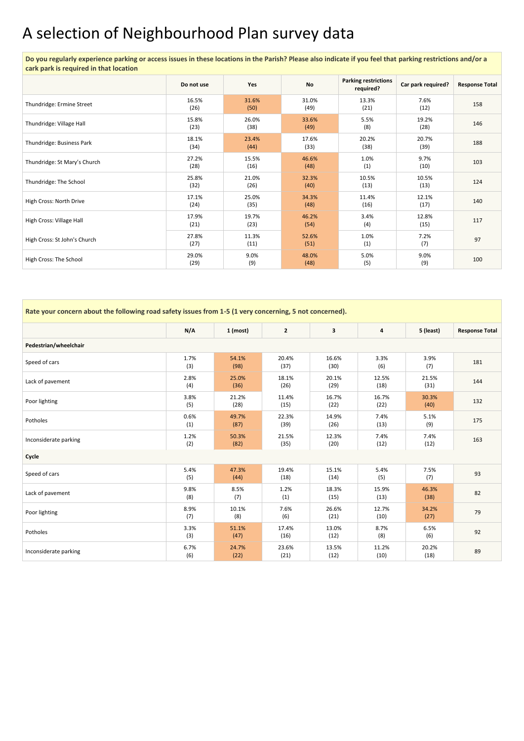# A selection of Neighbourhood Plan survey data

 $\mathcal{L}_{\rm{max}}$ 

**Do you regularly experience parking or access issues in these locations in the Parish? Please also indicate if you feel that parking restrictions and/or a cark park is required in that location** 

|                              | Do not use    | Yes           | <b>No</b>     | <b>Parking restrictions</b><br>required? | Car park required? | <b>Response Total</b> |
|------------------------------|---------------|---------------|---------------|------------------------------------------|--------------------|-----------------------|
| Thundridge: Ermine Street    | 16.5%<br>(26) | 31.6%<br>(50) | 31.0%<br>(49) | 13.3%<br>(21)                            | 7.6%<br>(12)       | 158                   |
| Thundridge: Village Hall     | 15.8%<br>(23) | 26.0%<br>(38) | 33.6%<br>(49) | 5.5%<br>(8)                              | 19.2%<br>(28)      | 146                   |
| Thundridge: Business Park    | 18.1%<br>(34) | 23.4%<br>(44) | 17.6%<br>(33) | 20.2%<br>(38)                            | 20.7%<br>(39)      | 188                   |
| Thundridge: St Mary's Church | 27.2%<br>(28) | 15.5%<br>(16) | 46.6%<br>(48) | 1.0%<br>(1)                              | 9.7%<br>(10)       | 103                   |
| Thundridge: The School       | 25.8%<br>(32) | 21.0%<br>(26) | 32.3%<br>(40) | 10.5%<br>(13)                            | 10.5%<br>(13)      | 124                   |
| High Cross: North Drive      | 17.1%<br>(24) | 25.0%<br>(35) | 34.3%<br>(48) | 11.4%<br>(16)                            | 12.1%<br>(17)      | 140                   |
| High Cross: Village Hall     | 17.9%<br>(21) | 19.7%<br>(23) | 46.2%<br>(54) | 3.4%<br>(4)                              | 12.8%<br>(15)      | 117                   |
| High Cross: St John's Church | 27.8%<br>(27) | 11.3%<br>(11) | 52.6%<br>(51) | 1.0%<br>(1)                              | 7.2%<br>(7)        | 97                    |
| High Cross: The School       | 29.0%<br>(29) | 9.0%<br>(9)   | 48.0%<br>(48) | 5.0%<br>(5)                              | 9.0%<br>(9)        | 100                   |

| Rate your concern about the following road safety issues from 1-5 (1 very concerning, 5 not concerned). |             |               |               |                         |                         |               |                       |
|---------------------------------------------------------------------------------------------------------|-------------|---------------|---------------|-------------------------|-------------------------|---------------|-----------------------|
|                                                                                                         | N/A         | $1$ (most)    | $\mathbf{2}$  | $\overline{\mathbf{3}}$ | $\overline{\mathbf{4}}$ | 5 (least)     | <b>Response Total</b> |
| Pedestrian/wheelchair                                                                                   |             |               |               |                         |                         |               |                       |
| Speed of cars                                                                                           | 1.7%<br>(3) | 54.1%<br>(98) | 20.4%<br>(37) | 16.6%<br>(30)           | 3.3%<br>(6)             | 3.9%<br>(7)   | 181                   |
| Lack of pavement                                                                                        | 2.8%<br>(4) | 25.0%<br>(36) | 18.1%<br>(26) | 20.1%<br>(29)           | 12.5%<br>(18)           | 21.5%<br>(31) | 144                   |
| Poor lighting                                                                                           | 3.8%<br>(5) | 21.2%<br>(28) | 11.4%<br>(15) | 16.7%<br>(22)           | 16.7%<br>(22)           | 30.3%<br>(40) | 132                   |
| Potholes                                                                                                | 0.6%<br>(1) | 49.7%<br>(87) | 22.3%<br>(39) | 14.9%<br>(26)           | 7.4%<br>(13)            | 5.1%<br>(9)   | 175                   |
| Inconsiderate parking                                                                                   | 1.2%<br>(2) | 50.3%<br>(82) | 21.5%<br>(35) | 12.3%<br>(20)           | 7.4%<br>(12)            | 7.4%<br>(12)  | 163                   |
| Cycle                                                                                                   |             |               |               |                         |                         |               |                       |
| Speed of cars                                                                                           | 5.4%<br>(5) | 47.3%<br>(44) | 19.4%<br>(18) | 15.1%<br>(14)           | 5.4%<br>(5)             | 7.5%<br>(7)   | 93                    |
| Lack of pavement                                                                                        | 9.8%<br>(8) | 8.5%<br>(7)   | 1.2%<br>(1)   | 18.3%<br>(15)           | 15.9%<br>(13)           | 46.3%<br>(38) | 82                    |
| Poor lighting                                                                                           | 8.9%<br>(7) | 10.1%<br>(8)  | 7.6%<br>(6)   | 26.6%<br>(21)           | 12.7%<br>(10)           | 34.2%<br>(27) | 79                    |
| Potholes                                                                                                | 3.3%<br>(3) | 51.1%<br>(47) | 17.4%<br>(16) | 13.0%<br>(12)           | 8.7%<br>(8)             | 6.5%<br>(6)   | 92                    |
| Inconsiderate parking                                                                                   | 6.7%<br>(6) | 24.7%<br>(22) | 23.6%<br>(21) | 13.5%<br>(12)           | 11.2%<br>(10)           | 20.2%<br>(18) | 89                    |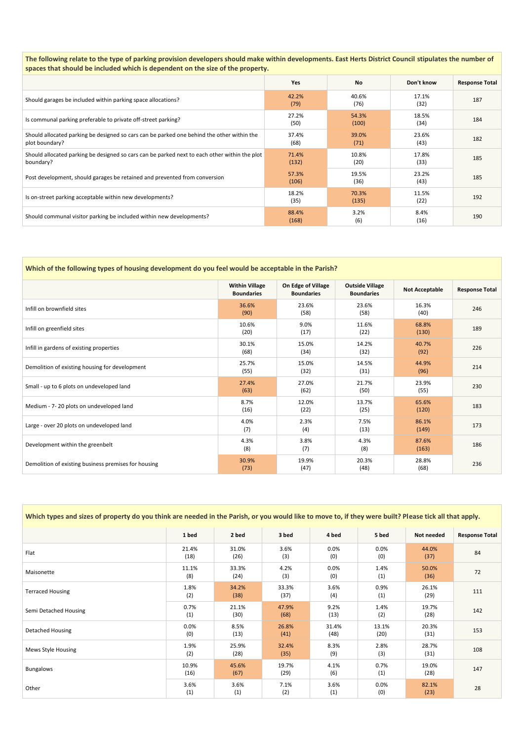**The following relate to the type of parking provision developers should make within developments. East Herts District Council stipulates the number of spaces that should be included which is dependent on the size of the property.** 

|                                                                                                              | <b>Yes</b>     | <b>No</b>      | Don't know    | <b>Response Total</b> |
|--------------------------------------------------------------------------------------------------------------|----------------|----------------|---------------|-----------------------|
| Should garages be included within parking space allocations?                                                 | 42.2%<br>(79)  | 40.6%<br>(76)  | 17.1%<br>(32) | 187                   |
| Is communal parking preferable to private off-street parking?                                                | 27.2%<br>(50)  | 54.3%<br>(100) | 18.5%<br>(34) | 184                   |
| Should allocated parking be designed so cars can be parked one behind the other within the<br>plot boundary? | 37.4%<br>(68)  | 39.0%<br>(71)  | 23.6%<br>(43) | 182                   |
| Should allocated parking be designed so cars can be parked next to each other within the plot<br>boundary?   | 71.4%<br>(132) | 10.8%<br>(20)  | 17.8%<br>(33) | 185                   |
| Post development, should garages be retained and prevented from conversion                                   | 57.3%<br>(106) | 19.5%<br>(36)  | 23.2%<br>(43) | 185                   |
| Is on-street parking acceptable within new developments?                                                     | 18.2%<br>(35)  | 70.3%<br>(135) | 11.5%<br>(22) | 192                   |
| Should communal visitor parking be included within new developments?                                         | 88.4%<br>(168) | 3.2%<br>(6)    | 8.4%<br>(16)  | 190                   |

#### **Which of the following types of housing development do you feel would be acceptable in the Parish?**

|                                                      | <b>Within Village</b><br><b>Boundaries</b> | On Edge of Village<br><b>Boundaries</b> | <b>Outside Village</b><br><b>Boundaries</b> | <b>Not Acceptable</b> | <b>Response Total</b> |
|------------------------------------------------------|--------------------------------------------|-----------------------------------------|---------------------------------------------|-----------------------|-----------------------|
| Infill on brownfield sites                           | 36.6%<br>(90)                              | 23.6%<br>(58)                           | 23.6%<br>(58)                               | 16.3%<br>(40)         | 246                   |
| Infill on greenfield sites                           | 10.6%<br>(20)                              | 9.0%<br>(17)                            | 11.6%<br>(22)                               | 68.8%<br>(130)        | 189                   |
| Infill in gardens of existing properties             | 30.1%<br>(68)                              | 15.0%<br>(34)                           | 14.2%<br>(32)                               | 40.7%<br>(92)         | 226                   |
| Demolition of existing housing for development       | 25.7%<br>(55)                              | 15.0%<br>(32)                           | 14.5%<br>(31)                               | 44.9%<br>(96)         | 214                   |
| Small - up to 6 plots on undeveloped land            | 27.4%<br>(63)                              | 27.0%<br>(62)                           | 21.7%<br>(50)                               | 23.9%<br>(55)         | 230                   |
| Medium - 7-20 plots on undeveloped land              | 8.7%<br>(16)                               | 12.0%<br>(22)                           | 13.7%<br>(25)                               | 65.6%<br>(120)        | 183                   |
| Large - over 20 plots on undeveloped land            | 4.0%<br>(7)                                | 2.3%<br>(4)                             | 7.5%<br>(13)                                | 86.1%<br>(149)        | 173                   |
| Development within the greenbelt                     | 4.3%<br>(8)                                | 3.8%<br>(7)                             | 4.3%<br>(8)                                 | 87.6%<br>(163)        | 186                   |
| Demolition of existing business premises for housing | 30.9%<br>(73)                              | 19.9%<br>(47)                           | 20.3%<br>(48)                               | 28.8%<br>(68)         | 236                   |

| Which types and sizes of property do you think are needed in the Parish, or you would like to move to, if they were built? Please tick all that apply. |               |               |       |             |             |               |                       |
|--------------------------------------------------------------------------------------------------------------------------------------------------------|---------------|---------------|-------|-------------|-------------|---------------|-----------------------|
|                                                                                                                                                        | 1 bed         | 2 bed         | 3 bed | 4 bed       | 5 bed       | Not needed    | <b>Response Total</b> |
| Flat                                                                                                                                                   | 21.4%<br>(18) | 31.0%<br>(26) | 3.6%  | 0.0%<br>(0) | 0.0%<br>(0) | 44.0%<br>(37) | 84                    |

| Maisonette              | 11.1%<br>(8)  | 33.3%<br>(24) | 4.2%<br>(3)   | 0.0%<br>(0)   | 1.4%<br>(1)    | 50.0%<br>(36) | 72  |
|-------------------------|---------------|---------------|---------------|---------------|----------------|---------------|-----|
| <b>Terraced Housing</b> | 1.8%<br>(2)   | 34.2%<br>(38) | 33.3%<br>(37) | 3.6%<br>(4)   | 0.9%<br>(1)    | 26.1%<br>(29) | 111 |
| Semi Detached Housing   | 0.7%<br>(1)   | 21.1%<br>(30) | 47.9%<br>(68) | 9.2%<br>(13)  | 1.4%<br>(2)    | 19.7%<br>(28) | 142 |
| Detached Housing        | 0.0%<br>(0)   | 8.5%<br>(13)  | 26.8%<br>(41) | 31.4%<br>(48) | 13.1%<br>(20)  | 20.3%<br>(31) | 153 |
| Mews Style Housing      | 1.9%<br>(2)   | 25.9%<br>(28) | 32.4%<br>(35) | 8.3%<br>(9)   | 2.8%<br>(3)    | 28.7%<br>(31) | 108 |
| <b>Bungalows</b>        | 10.9%<br>(16) | 45.6%<br>(67) | 19.7%<br>(29) | 4.1%<br>(6)   | 0.7%<br>(1)    | 19.0%<br>(28) | 147 |
| Other                   | 3.6%<br>(1)   | 3.6%<br>(1)   | 7.1%<br>(2)   | 3.6%<br>(1)   | $0.0\%$<br>(0) | 82.1%<br>(23) | 28  |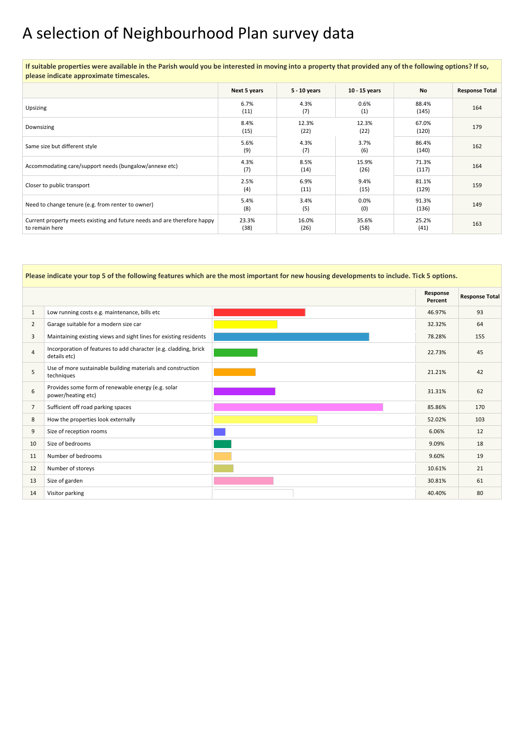# A selection of Neighbourhood Plan survey data

**If suitable properties were available in the Parish would you be interested in moving into a property that provided any of the following options? If so, please indicate approximate timescales.** 

|                                                                                            | Next 5 years  | 5 - 10 years  | 10 - 15 years | <b>No</b>      | <b>Response Total</b> |
|--------------------------------------------------------------------------------------------|---------------|---------------|---------------|----------------|-----------------------|
| Upsizing                                                                                   | 6.7%<br>(11)  | 4.3%<br>(7)   | 0.6%<br>(1)   | 88.4%<br>(145) | 164                   |
| Downsizing                                                                                 | 8.4%<br>(15)  | 12.3%<br>(22) | 12.3%<br>(22) | 67.0%<br>(120) | 179                   |
| Same size but different style                                                              | 5.6%<br>(9)   | 4.3%<br>(7)   | 3.7%<br>(6)   | 86.4%<br>(140) | 162                   |
| Accommodating care/support needs (bungalow/annexe etc)                                     | 4.3%<br>(7)   | 8.5%<br>(14)  | 15.9%<br>(26) | 71.3%<br>(117) | 164                   |
| Closer to public transport                                                                 | 2.5%<br>(4)   | 6.9%<br>(11)  | 9.4%<br>(15)  | 81.1%<br>(129) | 159                   |
| Need to change tenure (e.g. from renter to owner)                                          | 5.4%<br>(8)   | 3.4%<br>(5)   | 0.0%<br>(0)   | 91.3%<br>(136) | 149                   |
| Current property meets existing and future needs and are therefore happy<br>to remain here | 23.3%<br>(38) | 16.0%<br>(26) | 35.6%<br>(58) | 25.2%<br>(41)  | 163                   |

**Please indicate your top 5 of the following features which are the most important for new housing developments to include. Tick 5 options.** 

|                |                                                                                  | Response<br>Percent | <b>Response Total</b> |
|----------------|----------------------------------------------------------------------------------|---------------------|-----------------------|
| $\mathbf{1}$   | Low running costs e.g. maintenance, bills etc                                    | 46.97%              | 93                    |
| $\overline{2}$ | Garage suitable for a modern size car                                            | 32.32%              | 64                    |
| $\overline{3}$ | Maintaining existing views and sight lines for existing residents                | 78.28%              | 155                   |
| $\overline{4}$ | Incorporation of features to add character (e.g. cladding, brick<br>details etc) | 22.73%              | 45                    |
| 5              | Use of more sustainable building materials and construction<br>techniques        | 21.21%              | 42                    |
| 6              | Provides some form of renewable energy (e.g. solar<br>power/heating etc)         | 31.31%              | 62                    |
| $\overline{7}$ | Sufficient off road parking spaces                                               | 85.86%              | 170                   |
| 8              | How the properties look externally                                               | 52.02%              | 103                   |
| $\overline{9}$ | Size of reception rooms                                                          | 6.06%               | 12                    |
| 10             | Size of bedrooms                                                                 | 9.09%               | 18                    |
| 11             | Number of bedrooms                                                               | 9.60%               | 19                    |
| 12             | Number of storeys                                                                | 10.61%              | 21                    |
| 13             | Size of garden                                                                   | 30.81%              | 61                    |
| 14             | Visitor parking                                                                  | 40.40%              | 80                    |